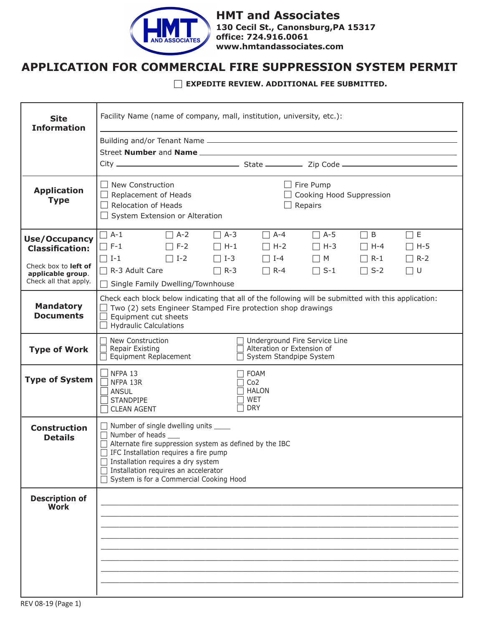

 **www.hmtandassociates.comHMT and Associates 130 Cecil St., Canonsburg,PA 15317 office: 724.916.0061**

## **APPLICATION FOR COMMERCIAL FIRE SUPPRESSION SYSTEM PERMIT**

## **EXPEDITE REVIEW. ADDITIONAL FEE SUBMITTED.**

| <b>Site</b><br><b>Information</b>                                  | Facility Name (name of company, mall, institution, university, etc.):                                                                                                                                                                                                                                           |  |  |
|--------------------------------------------------------------------|-----------------------------------------------------------------------------------------------------------------------------------------------------------------------------------------------------------------------------------------------------------------------------------------------------------------|--|--|
|                                                                    |                                                                                                                                                                                                                                                                                                                 |  |  |
|                                                                    |                                                                                                                                                                                                                                                                                                                 |  |  |
|                                                                    |                                                                                                                                                                                                                                                                                                                 |  |  |
| <b>Application</b><br><b>Type</b>                                  | $\Box$ New Construction<br>$\Box$ Fire Pump<br>$\Box$ Replacement of Heads<br>Cooking Hood Suppression<br>$\Box$ Relocation of Heads<br>Repairs<br>$\Box$ System Extension or Alteration                                                                                                                        |  |  |
| <b>Use/Occupancy</b><br><b>Classification:</b>                     | $\Box$ A-1<br>$\Box$ A-2<br>$\Box$ A-3<br>$\Box$ A-4<br>$\Box$ E<br>$\Box$ A-5<br>$\sqsupset$ B<br>$\Box$ F-1<br>$\Box$ F-2<br>$\Box$ H-1<br>$\Box$ H-2<br>$\Box$ H-3<br>$\Box$ H-4<br>$\Box$ H-5<br>$\Box$ I-2<br>$\Box$ I-1<br>$\Box$ I-3<br>$\Box$ I-4<br>$\Box$ M<br>$\Box$ R-2<br>$\Box$ R-1               |  |  |
| Check box to left of<br>applicable group.<br>Check all that apply. | R-3 Adult Care<br>$\Box$ R-3<br>$\Box$ S-1<br>$\Box$ R-4<br>$\Box$ S-2<br>  U<br>□ Single Family Dwelling/Townhouse                                                                                                                                                                                             |  |  |
| <b>Mandatory</b><br><b>Documents</b>                               | Check each block below indicating that all of the following will be submitted with this application:<br>$\Box$ Two (2) sets Engineer Stamped Fire protection shop drawings<br>$\Box$ Equipment cut sheets<br>$\Box$ Hydraulic Calculations                                                                      |  |  |
| <b>Type of Work</b>                                                | New Construction<br>Underground Fire Service Line<br><b>Repair Existing</b><br>Alteration or Extension of<br>Equipment Replacement<br>System Standpipe System                                                                                                                                                   |  |  |
| <b>Type of System</b>                                              | NFPA 13<br><b>FOAM</b><br>NFPA 13R<br>Co <sub>2</sub><br><b>HALON</b><br><b>ANSUL</b><br>WET<br><b>STANDPIPE</b><br><b>DRY</b><br><b>CLEAN AGENT</b>                                                                                                                                                            |  |  |
| <b>Construction</b><br><b>Details</b>                              | □ Number of single dwelling units <u>■</u><br>$\Box$ Number of heads $\Box$<br>$\Box$ Alternate fire suppression system as defined by the IBC<br>IFC Installation requires a fire pump<br>Installation requires a dry system<br>Installation requires an accelerator<br>System is for a Commercial Cooking Hood |  |  |
| <b>Description of</b><br><b>Work</b>                               |                                                                                                                                                                                                                                                                                                                 |  |  |
|                                                                    |                                                                                                                                                                                                                                                                                                                 |  |  |
|                                                                    |                                                                                                                                                                                                                                                                                                                 |  |  |
|                                                                    |                                                                                                                                                                                                                                                                                                                 |  |  |
|                                                                    |                                                                                                                                                                                                                                                                                                                 |  |  |
|                                                                    |                                                                                                                                                                                                                                                                                                                 |  |  |